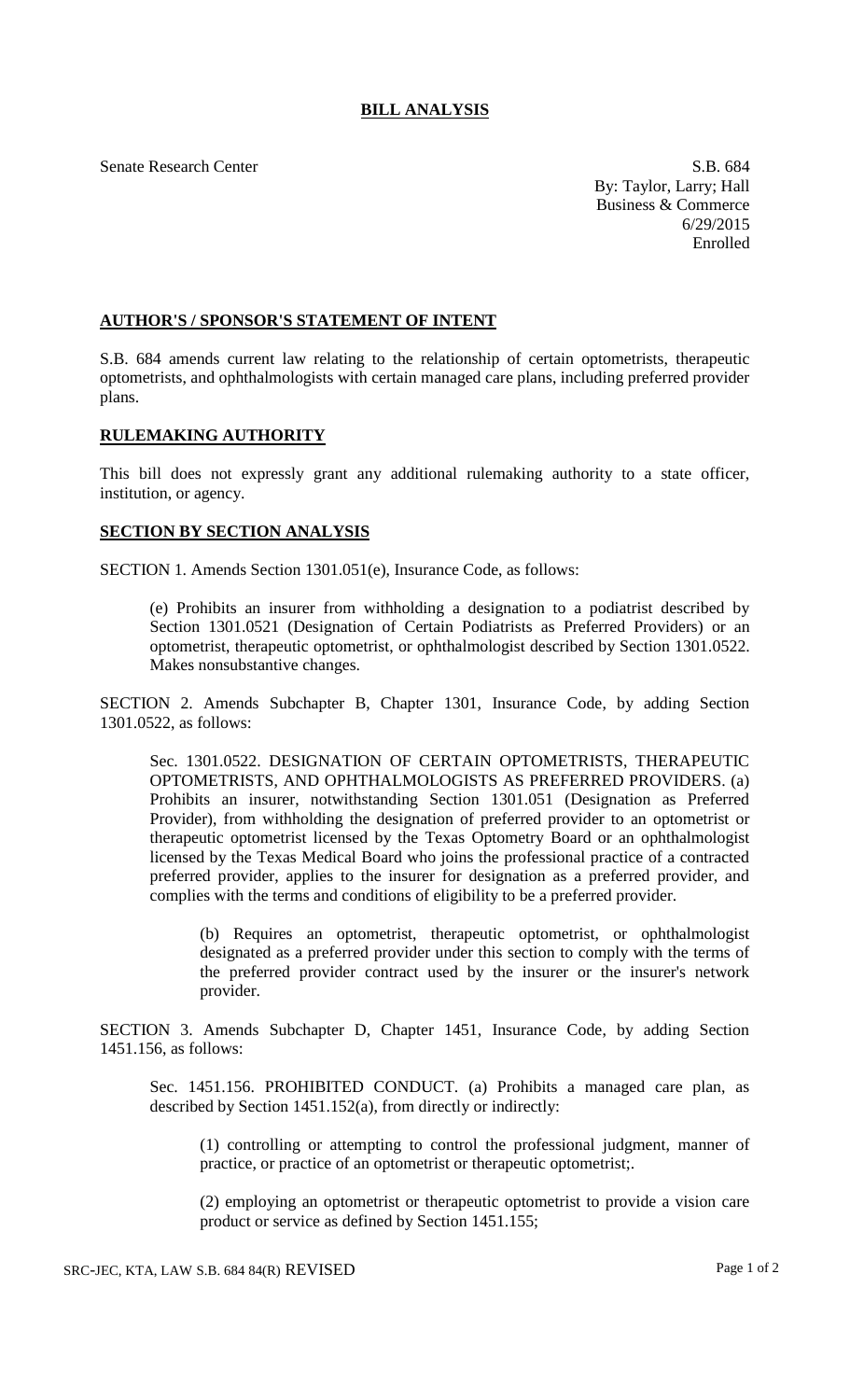## **BILL ANALYSIS**

Senate Research Center S.B. 684

By: Taylor, Larry; Hall Business & Commerce 6/29/2015 Enrolled

## **AUTHOR'S / SPONSOR'S STATEMENT OF INTENT**

S.B. 684 amends current law relating to the relationship of certain optometrists, therapeutic optometrists, and ophthalmologists with certain managed care plans, including preferred provider plans.

## **RULEMAKING AUTHORITY**

This bill does not expressly grant any additional rulemaking authority to a state officer, institution, or agency.

## **SECTION BY SECTION ANALYSIS**

SECTION 1. Amends Section 1301.051(e), Insurance Code, as follows:

(e) Prohibits an insurer from withholding a designation to a podiatrist described by Section 1301.0521 (Designation of Certain Podiatrists as Preferred Providers) or an optometrist, therapeutic optometrist, or ophthalmologist described by Section 1301.0522. Makes nonsubstantive changes.

SECTION 2. Amends Subchapter B, Chapter 1301, Insurance Code, by adding Section 1301.0522, as follows:

Sec. 1301.0522. DESIGNATION OF CERTAIN OPTOMETRISTS, THERAPEUTIC OPTOMETRISTS, AND OPHTHALMOLOGISTS AS PREFERRED PROVIDERS. (a) Prohibits an insurer, notwithstanding Section 1301.051 (Designation as Preferred Provider), from withholding the designation of preferred provider to an optometrist or therapeutic optometrist licensed by the Texas Optometry Board or an ophthalmologist licensed by the Texas Medical Board who joins the professional practice of a contracted preferred provider, applies to the insurer for designation as a preferred provider, and complies with the terms and conditions of eligibility to be a preferred provider.

(b) Requires an optometrist, therapeutic optometrist, or ophthalmologist designated as a preferred provider under this section to comply with the terms of the preferred provider contract used by the insurer or the insurer's network provider.

SECTION 3. Amends Subchapter D, Chapter 1451, Insurance Code, by adding Section 1451.156, as follows:

Sec. 1451.156. PROHIBITED CONDUCT. (a) Prohibits a managed care plan, as described by Section 1451.152(a), from directly or indirectly:

(1) controlling or attempting to control the professional judgment, manner of practice, or practice of an optometrist or therapeutic optometrist;.

(2) employing an optometrist or therapeutic optometrist to provide a vision care product or service as defined by Section 1451.155;